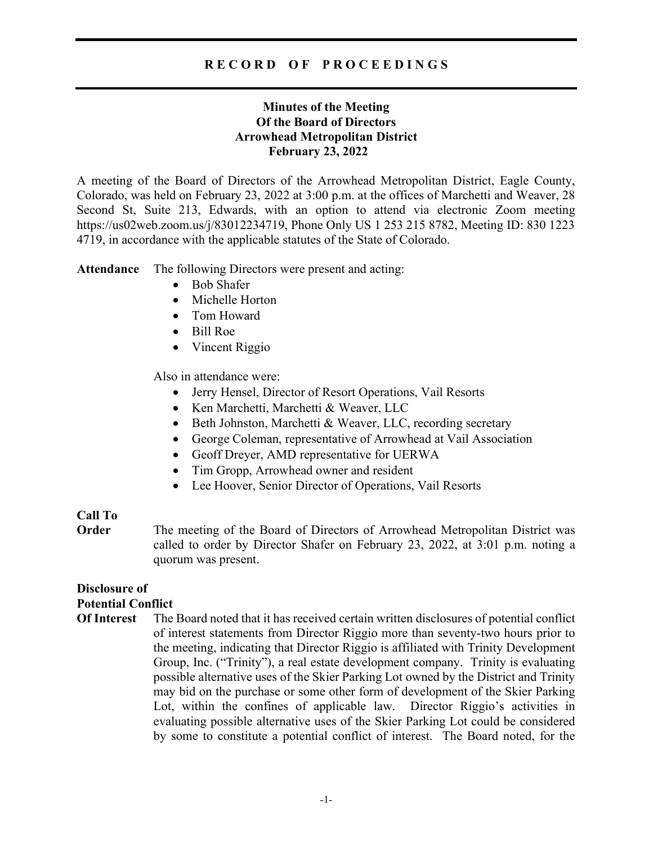# R E C O R D O F P R O C E E D I N G S

# Minutes of the Meeting Of the Board of Directors Arrowhead Metropolitan District February 23, 2022

A meeting of the Board of Directors of the Arrowhead Metropolitan District, Eagle County, Colorado, was held on February 23, 2022 at 3:00 p.m. at the offices of Marchetti and Weaver, 28 Second St, Suite 213, Edwards, with an option to attend via electronic Zoom meeting https://us02web.zoom.us/j/83012234719, Phone Only US 1 253 215 8782, Meeting ID: 830 1223 4719, in accordance with the applicable statutes of the State of Colorado.

Attendance The following Directors were present and acting:

- Bob Shafer
- Michelle Horton
- Tom Howard
- Bill Roe
- Vincent Riggio

Also in attendance were:

- Jerry Hensel, Director of Resort Operations, Vail Resorts
- Ken Marchetti, Marchetti & Weaver, LLC
- Beth Johnston, Marchetti & Weaver, LLC, recording secretary
- George Coleman, representative of Arrowhead at Vail Association
- Geoff Dreyer, AMD representative for UERWA
- Tim Gropp, Arrowhead owner and resident
- Lee Hoover, Senior Director of Operations, Vail Resorts

### Call To

**Order** The meeting of the Board of Directors of Arrowhead Metropolitan District was called to order by Director Shafer on February 23, 2022, at 3:01 p.m. noting a quorum was present.

# Disclosure of Potential Conflict

Of Interest The Board noted that it has received certain written disclosures of potential conflict of interest statements from Director Riggio more than seventy-two hours prior to the meeting, indicating that Director Riggio is affiliated with Trinity Development Group, Inc. ("Trinity"), a real estate development company. Trinity is evaluating possible alternative uses of the Skier Parking Lot owned by the District and Trinity may bid on the purchase or some other form of development of the Skier Parking Lot, within the confines of applicable law. Director Riggio's activities in evaluating possible alternative uses of the Skier Parking Lot could be considered by some to constitute a potential conflict of interest. The Board noted, for the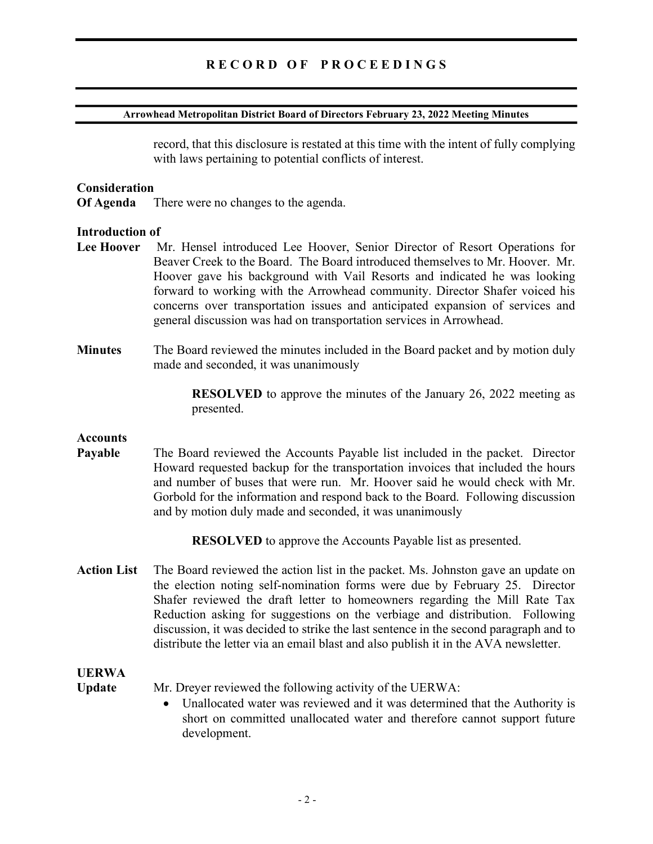### RECORD OF PROCEEDINGS

#### Arrowhead Metropolitan District Board of Directors February 23, 2022 Meeting Minutes

record, that this disclosure is restated at this time with the intent of fully complying with laws pertaining to potential conflicts of interest.

#### **Consideration**

Of Agenda There were no changes to the agenda.

#### Introduction of

- Lee Hoover Mr. Hensel introduced Lee Hoover, Senior Director of Resort Operations for Beaver Creek to the Board. The Board introduced themselves to Mr. Hoover. Mr. Hoover gave his background with Vail Resorts and indicated he was looking forward to working with the Arrowhead community. Director Shafer voiced his concerns over transportation issues and anticipated expansion of services and general discussion was had on transportation services in Arrowhead.
- Minutes The Board reviewed the minutes included in the Board packet and by motion duly made and seconded, it was unanimously

 RESOLVED to approve the minutes of the January 26, 2022 meeting as presented.

### **Accounts**

Payable The Board reviewed the Accounts Payable list included in the packet. Director Howard requested backup for the transportation invoices that included the hours and number of buses that were run. Mr. Hoover said he would check with Mr. Gorbold for the information and respond back to the Board. Following discussion and by motion duly made and seconded, it was unanimously

RESOLVED to approve the Accounts Payable list as presented.

Action List The Board reviewed the action list in the packet. Ms. Johnston gave an update on the election noting self-nomination forms were due by February 25. Director Shafer reviewed the draft letter to homeowners regarding the Mill Rate Tax Reduction asking for suggestions on the verbiage and distribution. Following discussion, it was decided to strike the last sentence in the second paragraph and to distribute the letter via an email blast and also publish it in the AVA newsletter.

# UERWA

Update Mr. Dreyer reviewed the following activity of the UERWA:

 Unallocated water was reviewed and it was determined that the Authority is short on committed unallocated water and therefore cannot support future development.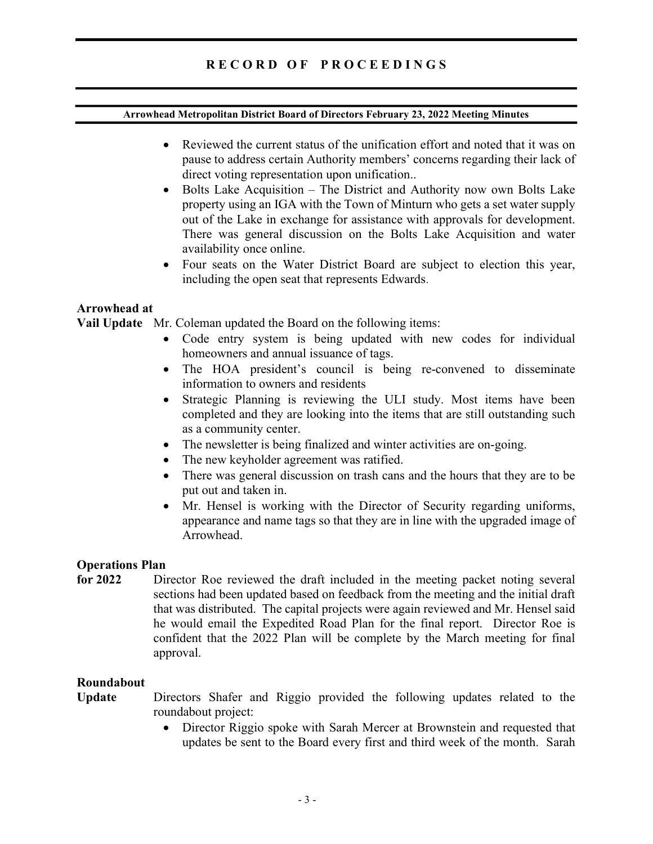# R E C O R D O F P R O C E E D I N G S

### Arrowhead Metropolitan District Board of Directors February 23, 2022 Meeting Minutes

- Reviewed the current status of the unification effort and noted that it was on pause to address certain Authority members' concerns regarding their lack of direct voting representation upon unification..
- Bolts Lake Acquisition The District and Authority now own Bolts Lake property using an IGA with the Town of Minturn who gets a set water supply out of the Lake in exchange for assistance with approvals for development. There was general discussion on the Bolts Lake Acquisition and water availability once online.
- Four seats on the Water District Board are subject to election this year, including the open seat that represents Edwards.

### Arrowhead at

Vail Update Mr. Coleman updated the Board on the following items:

- Code entry system is being updated with new codes for individual homeowners and annual issuance of tags.
- The HOA president's council is being re-convened to disseminate information to owners and residents
- Strategic Planning is reviewing the ULI study. Most items have been completed and they are looking into the items that are still outstanding such as a community center.
- The newsletter is being finalized and winter activities are on-going.
- The new keyholder agreement was ratified.
- There was general discussion on trash cans and the hours that they are to be put out and taken in.
- Mr. Hensel is working with the Director of Security regarding uniforms, appearance and name tags so that they are in line with the upgraded image of Arrowhead.

### Operations Plan

for 2022 Director Roe reviewed the draft included in the meeting packet noting several sections had been updated based on feedback from the meeting and the initial draft that was distributed. The capital projects were again reviewed and Mr. Hensel said he would email the Expedited Road Plan for the final report. Director Roe is confident that the 2022 Plan will be complete by the March meeting for final approval.

### Roundabout

Update Directors Shafer and Riggio provided the following updates related to the roundabout project:

> Director Riggio spoke with Sarah Mercer at Brownstein and requested that updates be sent to the Board every first and third week of the month. Sarah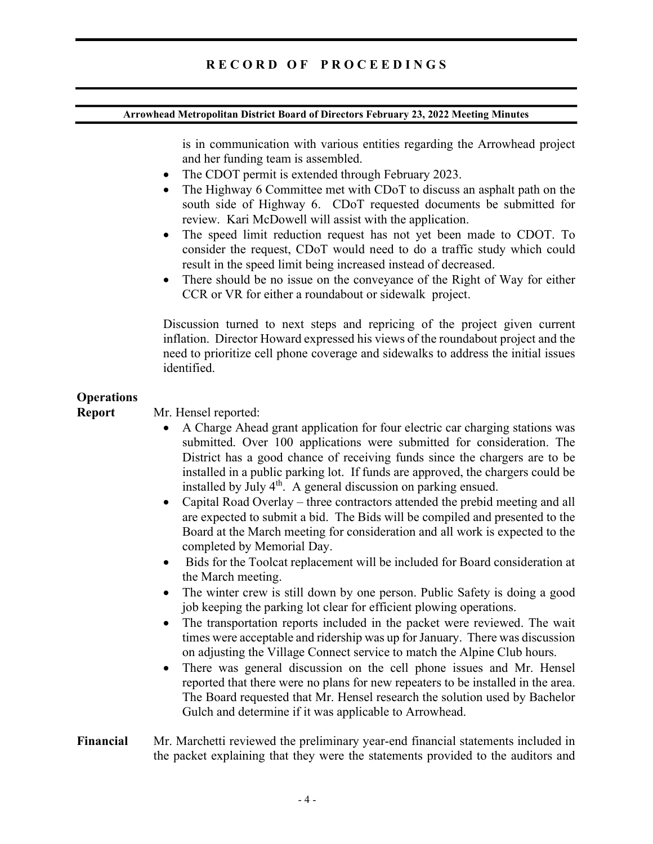#### Arrowhead Metropolitan District Board of Directors February 23, 2022 Meeting Minutes

is in communication with various entities regarding the Arrowhead project and her funding team is assembled.

- The CDOT permit is extended through February 2023.
- The Highway 6 Committee met with CDoT to discuss an asphalt path on the south side of Highway 6. CDoT requested documents be submitted for review. Kari McDowell will assist with the application.
- The speed limit reduction request has not yet been made to CDOT. To consider the request, CDoT would need to do a traffic study which could result in the speed limit being increased instead of decreased.
- There should be no issue on the conveyance of the Right of Way for either CCR or VR for either a roundabout or sidewalk project.

Discussion turned to next steps and repricing of the project given current inflation. Director Howard expressed his views of the roundabout project and the need to prioritize cell phone coverage and sidewalks to address the initial issues identified.

# **Operations**

Report Mr. Hensel reported:

- A Charge Ahead grant application for four electric car charging stations was submitted. Over 100 applications were submitted for consideration. The District has a good chance of receiving funds since the chargers are to be installed in a public parking lot. If funds are approved, the chargers could be installed by July 4<sup>th</sup>. A general discussion on parking ensued.
- Capital Road Overlay three contractors attended the prebid meeting and all are expected to submit a bid. The Bids will be compiled and presented to the Board at the March meeting for consideration and all work is expected to the completed by Memorial Day.
- Bids for the Toolcat replacement will be included for Board consideration at the March meeting.
- The winter crew is still down by one person. Public Safety is doing a good job keeping the parking lot clear for efficient plowing operations.
- The transportation reports included in the packet were reviewed. The wait times were acceptable and ridership was up for January. There was discussion on adjusting the Village Connect service to match the Alpine Club hours.
- There was general discussion on the cell phone issues and Mr. Hensel reported that there were no plans for new repeaters to be installed in the area. The Board requested that Mr. Hensel research the solution used by Bachelor Gulch and determine if it was applicable to Arrowhead.
- Financial Mr. Marchetti reviewed the preliminary year-end financial statements included in the packet explaining that they were the statements provided to the auditors and